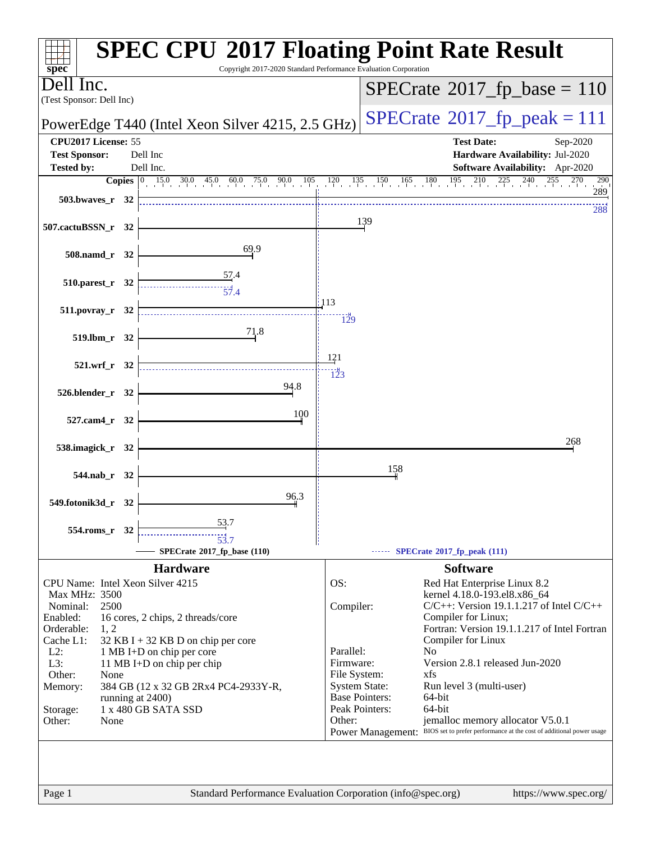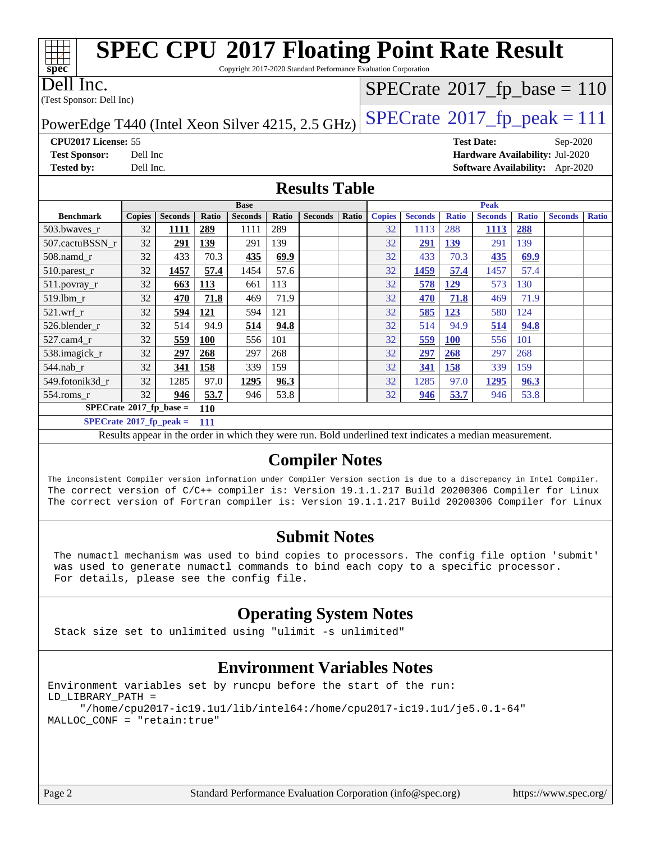| <b>SPEC CPU®2017 Floating Point Rate Result</b>         |                                                                                               |                |              |                |              |                |              |               |                |              |                   |              |                                        |              |
|---------------------------------------------------------|-----------------------------------------------------------------------------------------------|----------------|--------------|----------------|--------------|----------------|--------------|---------------|----------------|--------------|-------------------|--------------|----------------------------------------|--------------|
|                                                         | Copyright 2017-2020 Standard Performance Evaluation Corporation<br>$\overline{\text{spec}^*}$ |                |              |                |              |                |              |               |                |              |                   |              |                                        |              |
| Dell Inc.<br>$SPECTate$ <sup>®</sup> 2017_fp_base = 110 |                                                                                               |                |              |                |              |                |              |               |                |              |                   |              |                                        |              |
| (Test Sponsor: Dell Inc)                                |                                                                                               |                |              |                |              |                |              |               |                |              |                   |              |                                        |              |
|                                                         |                                                                                               |                |              |                |              |                |              |               |                |              |                   |              |                                        |              |
| PowerEdge T440 (Intel Xeon Silver 4215, 2.5 GHz)        |                                                                                               |                |              |                |              |                |              |               |                |              |                   |              | $SPECTate@2017_fp\_peak = 111$         |              |
| CPU2017 License: 55                                     |                                                                                               |                |              |                |              |                |              |               |                |              | <b>Test Date:</b> |              | Sep-2020                               |              |
| <b>Test Sponsor:</b>                                    | Dell Inc                                                                                      |                |              |                |              |                |              |               |                |              |                   |              | Hardware Availability: Jul-2020        |              |
| <b>Tested by:</b>                                       | Dell Inc.                                                                                     |                |              |                |              |                |              |               |                |              |                   |              | <b>Software Availability:</b> Apr-2020 |              |
| <b>Results Table</b>                                    |                                                                                               |                |              |                |              |                |              |               |                |              |                   |              |                                        |              |
|                                                         |                                                                                               |                |              | <b>Base</b>    |              |                |              | <b>Peak</b>   |                |              |                   |              |                                        |              |
| <b>Benchmark</b>                                        | <b>Copies</b>                                                                                 | <b>Seconds</b> | <b>Ratio</b> | <b>Seconds</b> | <b>Ratio</b> | <b>Seconds</b> | <b>Ratio</b> | <b>Copies</b> | <b>Seconds</b> | <b>Ratio</b> | <b>Seconds</b>    | <b>Ratio</b> | <b>Seconds</b>                         | <b>Ratio</b> |
| 503.bwaves_r                                            | 32                                                                                            | 1111           | 289          | 1111           | 289          |                |              | 32            | 1113           | 288          | 1113              | 288          |                                        |              |
| 507.cactuBSSN_r                                         | 32                                                                                            | 291            | 139          | 291            | 139          |                |              | 32            | 291            | 139          | 291               | 139          |                                        |              |
| $508$ .namd_r                                           | 32                                                                                            | 433            | 70.3         | 435            | 69.9         |                |              | 32            | 433            | 70.3         | 435               | 69.9         |                                        |              |
| 510.parest_r                                            | 32                                                                                            | 1457           | 57.4         | 1454           | 57.6         |                |              | 32            | 1459           | 57.4         | 1457              | 57.4         |                                        |              |
| 511.povray_r                                            | 32                                                                                            | 663            | 113          | 661            | 113          |                |              | 32            | 578            | 129          | 573               | 130          |                                        |              |
| 519.lbm r                                               | 32                                                                                            | 470            | 71.8         | 469            | 71.9         |                |              | 32            | 470            | 71.8         | 469               | 71.9         |                                        |              |
| 521.wrf r                                               | 32                                                                                            | 594            | 121          | 594            | 121          |                |              | 32            | 585            | 123          | 580               | 124          |                                        |              |
| 526.blender r                                           | 32                                                                                            | 514            | 94.9         | 514            | 94.8         |                |              | 32            | 514            | 94.9         | 514               | 94.8         |                                        |              |
| 527.cam4 r                                              | 32                                                                                            | <u>559</u>     | <b>100</b>   | 556            | 101          |                |              | 32            | 559            | <b>100</b>   | 556               | 101          |                                        |              |
| 538.imagick_r                                           | 32                                                                                            | 297            | 268          | 297            | 268          |                |              | 32            | 297            | 268          | 297               | 268          |                                        |              |
| 544.nab_r                                               | 32                                                                                            | 341            | 158          | 339            | 159          |                |              | 32            | 341            | 158          | 339               | 159          |                                        |              |
| 549.fotonik3d_r                                         | 32                                                                                            | 1285           | 97.0         | 1295           | 96.3         |                |              | 32            | 1285           | 97.0         | 1295              | 96.3         |                                        |              |
| 554.roms_r                                              | 32                                                                                            | 946            | 53.7         | 946            | 53.8         |                |              | 32            | 946            | 53.7         | 946               | 53.8         |                                        |              |

**[SPECrate](http://www.spec.org/auto/cpu2017/Docs/result-fields.html#SPECrate2017fpbase)[2017\\_fp\\_base =](http://www.spec.org/auto/cpu2017/Docs/result-fields.html#SPECrate2017fpbase) 110**

**[SPECrate](http://www.spec.org/auto/cpu2017/Docs/result-fields.html#SPECrate2017fppeak)[2017\\_fp\\_peak =](http://www.spec.org/auto/cpu2017/Docs/result-fields.html#SPECrate2017fppeak) 111**

Results appear in the [order in which they were run.](http://www.spec.org/auto/cpu2017/Docs/result-fields.html#RunOrder) Bold underlined text [indicates a median measurement.](http://www.spec.org/auto/cpu2017/Docs/result-fields.html#Median)

## **[Compiler Notes](http://www.spec.org/auto/cpu2017/Docs/result-fields.html#CompilerNotes)**

The inconsistent Compiler version information under Compiler Version section is due to a discrepancy in Intel Compiler. The correct version of C/C++ compiler is: Version 19.1.1.217 Build 20200306 Compiler for Linux The correct version of Fortran compiler is: Version 19.1.1.217 Build 20200306 Compiler for Linux

## **[Submit Notes](http://www.spec.org/auto/cpu2017/Docs/result-fields.html#SubmitNotes)**

 The numactl mechanism was used to bind copies to processors. The config file option 'submit' was used to generate numactl commands to bind each copy to a specific processor. For details, please see the config file.

## **[Operating System Notes](http://www.spec.org/auto/cpu2017/Docs/result-fields.html#OperatingSystemNotes)**

Stack size set to unlimited using "ulimit -s unlimited"

## **[Environment Variables Notes](http://www.spec.org/auto/cpu2017/Docs/result-fields.html#EnvironmentVariablesNotes)**

Environment variables set by runcpu before the start of the run: LD\_LIBRARY\_PATH = "/home/cpu2017-ic19.1u1/lib/intel64:/home/cpu2017-ic19.1u1/je5.0.1-64" MALLOC\_CONF = "retain:true"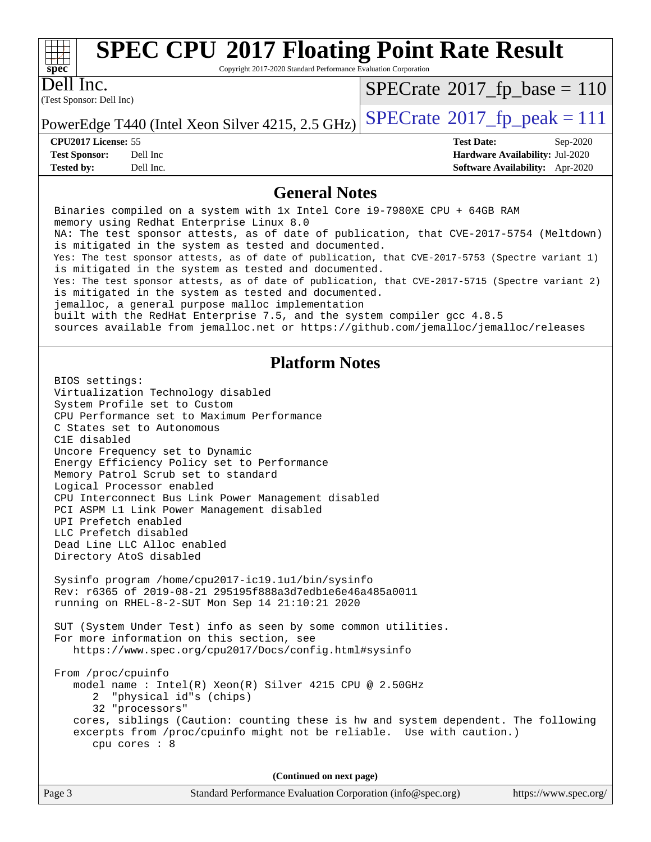

Copyright 2017-2020 Standard Performance Evaluation Corporation

(Test Sponsor: Dell Inc) Dell Inc.

 $SPECTate$ <sup>®</sup>[2017\\_fp\\_base =](http://www.spec.org/auto/cpu2017/Docs/result-fields.html#SPECrate2017fpbase) 110

PowerEdge T440 (Intel Xeon Silver 4215, 2.5 GHz)  $\text{SPECrate}^{\circ}2017$  $\text{SPECrate}^{\circ}2017$  $\text{SPECrate}^{\circ}2017$  fp peak = 111

**[CPU2017 License:](http://www.spec.org/auto/cpu2017/Docs/result-fields.html#CPU2017License)** 55 **[Test Date:](http://www.spec.org/auto/cpu2017/Docs/result-fields.html#TestDate)** Sep-2020

**[Test Sponsor:](http://www.spec.org/auto/cpu2017/Docs/result-fields.html#TestSponsor)** Dell Inc **[Hardware Availability:](http://www.spec.org/auto/cpu2017/Docs/result-fields.html#HardwareAvailability)** Jul-2020 **[Tested by:](http://www.spec.org/auto/cpu2017/Docs/result-fields.html#Testedby)** Dell Inc. **[Software Availability:](http://www.spec.org/auto/cpu2017/Docs/result-fields.html#SoftwareAvailability)** Apr-2020

### **[General Notes](http://www.spec.org/auto/cpu2017/Docs/result-fields.html#GeneralNotes)**

 Binaries compiled on a system with 1x Intel Core i9-7980XE CPU + 64GB RAM memory using Redhat Enterprise Linux 8.0 NA: The test sponsor attests, as of date of publication, that CVE-2017-5754 (Meltdown) is mitigated in the system as tested and documented. Yes: The test sponsor attests, as of date of publication, that CVE-2017-5753 (Spectre variant 1) is mitigated in the system as tested and documented. Yes: The test sponsor attests, as of date of publication, that CVE-2017-5715 (Spectre variant 2) is mitigated in the system as tested and documented. jemalloc, a general purpose malloc implementation built with the RedHat Enterprise 7.5, and the system compiler gcc 4.8.5 sources available from jemalloc.net or<https://github.com/jemalloc/jemalloc/releases> **[Platform Notes](http://www.spec.org/auto/cpu2017/Docs/result-fields.html#PlatformNotes)** BIOS settings: Virtualization Technology disabled System Profile set to Custom CPU Performance set to Maximum Performance C States set to Autonomous C1E disabled Uncore Frequency set to Dynamic Energy Efficiency Policy set to Performance Memory Patrol Scrub set to standard Logical Processor enabled CPU Interconnect Bus Link Power Management disabled PCI ASPM L1 Link Power Management disabled UPI Prefetch enabled LLC Prefetch disabled Dead Line LLC Alloc enabled Directory AtoS disabled Sysinfo program /home/cpu2017-ic19.1u1/bin/sysinfo Rev: r6365 of 2019-08-21 295195f888a3d7edb1e6e46a485a0011 running on RHEL-8-2-SUT Mon Sep 14 21:10:21 2020 SUT (System Under Test) info as seen by some common utilities. For more information on this section, see <https://www.spec.org/cpu2017/Docs/config.html#sysinfo> From /proc/cpuinfo model name : Intel(R) Xeon(R) Silver 4215 CPU @ 2.50GHz 2 "physical id"s (chips) 32 "processors" cores, siblings (Caution: counting these is hw and system dependent. The following excerpts from /proc/cpuinfo might not be reliable. Use with caution.) cpu cores : 8 **(Continued on next page)**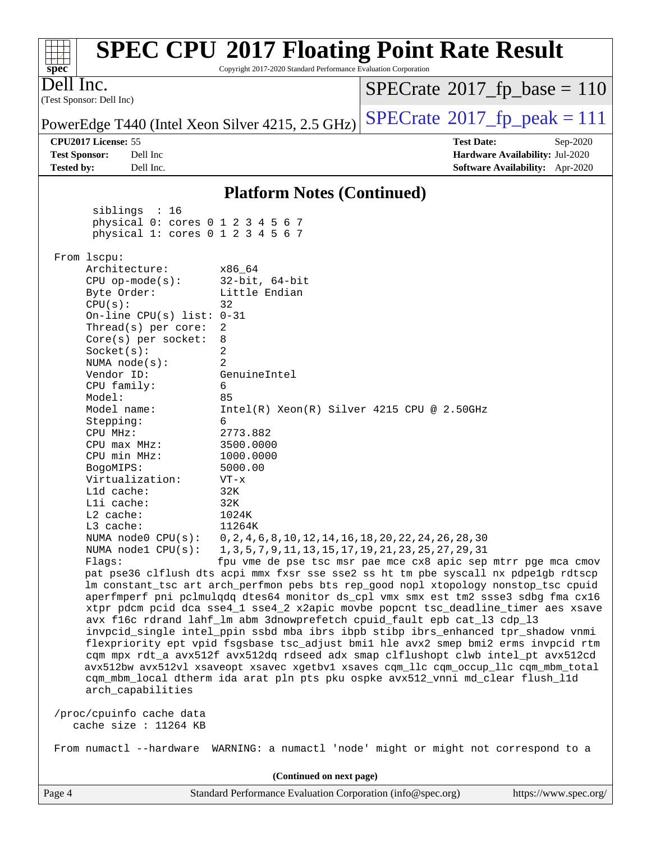| $spec^*$                                                                                                                                                                                                                                                                                                                                              | Copyright 2017-2020 Standard Performance Evaluation Corporation | <b>SPEC CPU®2017 Floating Point Rate Result</b>                                                                                                                                                                                                   |                       |  |  |
|-------------------------------------------------------------------------------------------------------------------------------------------------------------------------------------------------------------------------------------------------------------------------------------------------------------------------------------------------------|-----------------------------------------------------------------|---------------------------------------------------------------------------------------------------------------------------------------------------------------------------------------------------------------------------------------------------|-----------------------|--|--|
| Dell Inc.<br>(Test Sponsor: Dell Inc)                                                                                                                                                                                                                                                                                                                 |                                                                 | $SPECrate^{\circ}2017_fp\_base = 110$                                                                                                                                                                                                             |                       |  |  |
| PowerEdge T440 (Intel Xeon Silver 4215, 2.5 GHz)                                                                                                                                                                                                                                                                                                      |                                                                 | $SPECrate^{\circledcirc}2017_fp\_peak = 111$                                                                                                                                                                                                      |                       |  |  |
| CPU2017 License: 55                                                                                                                                                                                                                                                                                                                                   |                                                                 | <b>Test Date:</b>                                                                                                                                                                                                                                 | Sep-2020              |  |  |
| Dell Inc<br><b>Test Sponsor:</b>                                                                                                                                                                                                                                                                                                                      |                                                                 | Hardware Availability: Jul-2020                                                                                                                                                                                                                   |                       |  |  |
| <b>Tested by:</b><br>Dell Inc.                                                                                                                                                                                                                                                                                                                        |                                                                 | Software Availability: Apr-2020                                                                                                                                                                                                                   |                       |  |  |
|                                                                                                                                                                                                                                                                                                                                                       | <b>Platform Notes (Continued)</b>                               |                                                                                                                                                                                                                                                   |                       |  |  |
| siblings : 16<br>physical 0: cores 0 1 2 3 4 5 6 7<br>physical 1: cores 0 1 2 3 4 5 6 7                                                                                                                                                                                                                                                               |                                                                 |                                                                                                                                                                                                                                                   |                       |  |  |
| From lscpu:                                                                                                                                                                                                                                                                                                                                           |                                                                 |                                                                                                                                                                                                                                                   |                       |  |  |
| Architecture:                                                                                                                                                                                                                                                                                                                                         | x86_64                                                          |                                                                                                                                                                                                                                                   |                       |  |  |
| $CPU$ op-mode( $s$ ):<br>Byte Order:                                                                                                                                                                                                                                                                                                                  | $32$ -bit, $64$ -bit<br>Little Endian                           |                                                                                                                                                                                                                                                   |                       |  |  |
| CPU(s):                                                                                                                                                                                                                                                                                                                                               | 32                                                              |                                                                                                                                                                                                                                                   |                       |  |  |
| On-line CPU(s) list: $0-31$                                                                                                                                                                                                                                                                                                                           |                                                                 |                                                                                                                                                                                                                                                   |                       |  |  |
| Thread(s) per core:<br>Core(s) per socket:                                                                                                                                                                                                                                                                                                            | 2<br>8                                                          |                                                                                                                                                                                                                                                   |                       |  |  |
| Socket(s):                                                                                                                                                                                                                                                                                                                                            | 2                                                               |                                                                                                                                                                                                                                                   |                       |  |  |
| NUMA $node(s):$                                                                                                                                                                                                                                                                                                                                       | 2                                                               |                                                                                                                                                                                                                                                   |                       |  |  |
| Vendor ID:                                                                                                                                                                                                                                                                                                                                            | GenuineIntel                                                    |                                                                                                                                                                                                                                                   |                       |  |  |
| CPU family:<br>Model:                                                                                                                                                                                                                                                                                                                                 | 6<br>85                                                         |                                                                                                                                                                                                                                                   |                       |  |  |
| Model name:                                                                                                                                                                                                                                                                                                                                           | $Intel(R) Xeon(R) Silver 4215 CPU @ 2.50GHz$                    |                                                                                                                                                                                                                                                   |                       |  |  |
| Stepping:                                                                                                                                                                                                                                                                                                                                             | 6                                                               |                                                                                                                                                                                                                                                   |                       |  |  |
| CPU MHz:                                                                                                                                                                                                                                                                                                                                              | 2773.882                                                        |                                                                                                                                                                                                                                                   |                       |  |  |
| CPU max MHz:<br>CPU min MHz:                                                                                                                                                                                                                                                                                                                          | 3500.0000<br>1000.0000                                          |                                                                                                                                                                                                                                                   |                       |  |  |
| BogoMIPS:                                                                                                                                                                                                                                                                                                                                             | 5000.00                                                         |                                                                                                                                                                                                                                                   |                       |  |  |
| Virtualization:                                                                                                                                                                                                                                                                                                                                       | $VT - x$                                                        |                                                                                                                                                                                                                                                   |                       |  |  |
| L1d cache:                                                                                                                                                                                                                                                                                                                                            | 32K                                                             |                                                                                                                                                                                                                                                   |                       |  |  |
| Lli cache:<br>L2 cache:                                                                                                                                                                                                                                                                                                                               | 32K<br>1024K                                                    |                                                                                                                                                                                                                                                   |                       |  |  |
| L3 cache:                                                                                                                                                                                                                                                                                                                                             | 11264K                                                          |                                                                                                                                                                                                                                                   |                       |  |  |
| NUMA node0 CPU(s):                                                                                                                                                                                                                                                                                                                                    | 0, 2, 4, 6, 8, 10, 12, 14, 16, 18, 20, 22, 24, 26, 28, 30       |                                                                                                                                                                                                                                                   |                       |  |  |
| NUMA nodel CPU(s):                                                                                                                                                                                                                                                                                                                                    | 1, 3, 5, 7, 9, 11, 13, 15, 17, 19, 21, 23, 25, 27, 29, 31       |                                                                                                                                                                                                                                                   |                       |  |  |
| Flaqs:                                                                                                                                                                                                                                                                                                                                                |                                                                 | fpu vme de pse tsc msr pae mce cx8 apic sep mtrr pge mca cmov                                                                                                                                                                                     |                       |  |  |
| pat pse36 clflush dts acpi mmx fxsr sse sse2 ss ht tm pbe syscall nx pdpe1gb rdtscp<br>lm constant_tsc art arch_perfmon pebs bts rep_good nopl xtopology nonstop_tsc cpuid<br>aperfmperf pni pclmulqdq dtes64 monitor ds_cpl vmx smx est tm2 ssse3 sdbg fma cx16<br>xtpr pdcm pcid dca sse4_1 sse4_2 x2apic movbe popcnt tsc_deadline_timer aes xsave |                                                                 |                                                                                                                                                                                                                                                   |                       |  |  |
|                                                                                                                                                                                                                                                                                                                                                       |                                                                 | avx f16c rdrand lahf_lm abm 3dnowprefetch cpuid_fault epb cat_13 cdp_13<br>invpcid_single intel_ppin ssbd mba ibrs ibpb stibp ibrs_enhanced tpr_shadow vnmi<br>flexpriority ept vpid fsgsbase tsc_adjust bmil hle avx2 smep bmi2 erms invpcid rtm |                       |  |  |
|                                                                                                                                                                                                                                                                                                                                                       |                                                                 | cqm mpx rdt_a avx512f avx512dq rdseed adx smap clflushopt clwb intel_pt avx512cd<br>avx512bw avx512vl xsaveopt xsavec xgetbv1 xsaves cqm_llc cqm_occup_llc cqm_mbm_total                                                                          |                       |  |  |
| arch_capabilities                                                                                                                                                                                                                                                                                                                                     |                                                                 | cqm_mbm_local dtherm ida arat pln pts pku ospke avx512_vnni md_clear flush_l1d                                                                                                                                                                    |                       |  |  |
| /proc/cpuinfo cache data<br>cache size : 11264 KB                                                                                                                                                                                                                                                                                                     |                                                                 |                                                                                                                                                                                                                                                   |                       |  |  |
|                                                                                                                                                                                                                                                                                                                                                       |                                                                 | From numactl --hardware WARNING: a numactl 'node' might or might not correspond to a                                                                                                                                                              |                       |  |  |
|                                                                                                                                                                                                                                                                                                                                                       | (Continued on next page)                                        |                                                                                                                                                                                                                                                   |                       |  |  |
| Page 4                                                                                                                                                                                                                                                                                                                                                | Standard Performance Evaluation Corporation (info@spec.org)     |                                                                                                                                                                                                                                                   | https://www.spec.org/ |  |  |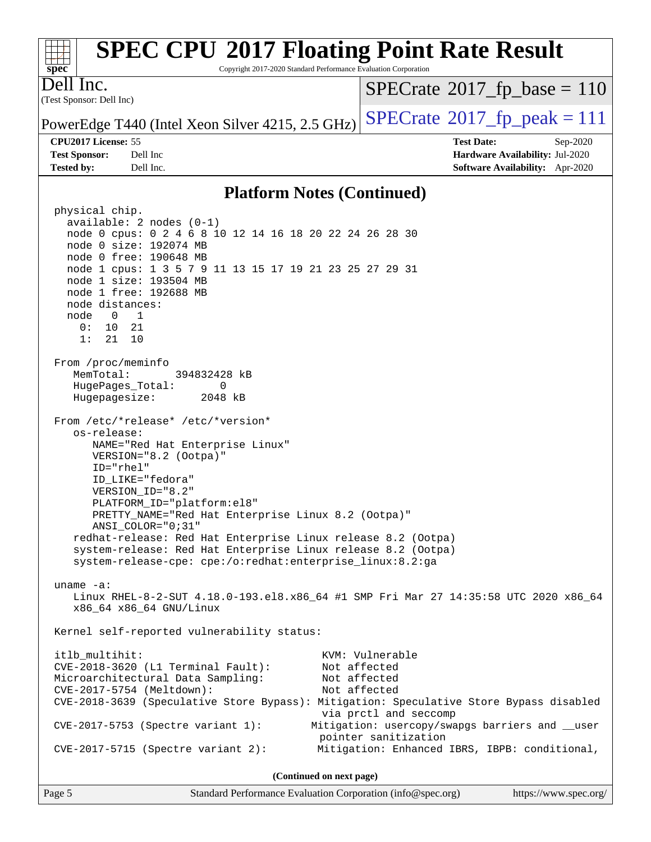| <b>SPEC CPU®2017 Floating Point Rate Result</b><br>spec<br>Copyright 2017-2020 Standard Performance Evaluation Corporation |                                                  |                                           |                                        |  |  |
|----------------------------------------------------------------------------------------------------------------------------|--------------------------------------------------|-------------------------------------------|----------------------------------------|--|--|
| $\overline{\text{D}}$ ell Inc.<br>(Test Sponsor: Dell Inc)                                                                 |                                                  | $SPECrate^{\circ}2017_fp\_base = 110$     |                                        |  |  |
|                                                                                                                            | PowerEdge T440 (Intel Xeon Silver 4215, 2.5 GHz) | $SPECrate^{\circledast}2017fr peak = 111$ |                                        |  |  |
| <b>CPU2017 License: 55</b>                                                                                                 |                                                  | <b>Test Date:</b>                         | $Sep-2020$                             |  |  |
| <b>Test Sponsor:</b>                                                                                                       | Dell Inc                                         |                                           | Hardware Availability: Jul-2020        |  |  |
| <b>Tested by:</b>                                                                                                          | Dell Inc.                                        |                                           | <b>Software Availability:</b> Apr-2020 |  |  |
|                                                                                                                            |                                                  |                                           |                                        |  |  |

### **[Platform Notes \(Continued\)](http://www.spec.org/auto/cpu2017/Docs/result-fields.html#PlatformNotes)**

 physical chip. available: 2 nodes (0-1) node 0 cpus: 0 2 4 6 8 10 12 14 16 18 20 22 24 26 28 30 node 0 size: 192074 MB node 0 free: 190648 MB node 1 cpus: 1 3 5 7 9 11 13 15 17 19 21 23 25 27 29 31 node 1 size: 193504 MB node 1 free: 192688 MB node distances: node 0 1 0: 10 21 1: 21 10 From /proc/meminfo MemTotal: 394832428 kB HugePages\_Total: 0 Hugepagesize: 2048 kB From /etc/\*release\* /etc/\*version\* os-release: NAME="Red Hat Enterprise Linux" VERSION="8.2 (Ootpa)" ID="rhel" ID\_LIKE="fedora" VERSION\_ID="8.2" PLATFORM\_ID="platform:el8" PRETTY\_NAME="Red Hat Enterprise Linux 8.2 (Ootpa)" ANSI\_COLOR="0;31" redhat-release: Red Hat Enterprise Linux release 8.2 (Ootpa) system-release: Red Hat Enterprise Linux release 8.2 (Ootpa) system-release-cpe: cpe:/o:redhat:enterprise\_linux:8.2:ga uname -a: Linux RHEL-8-2-SUT 4.18.0-193.el8.x86\_64 #1 SMP Fri Mar 27 14:35:58 UTC 2020 x86\_64 x86\_64 x86\_64 GNU/Linux Kernel self-reported vulnerability status: itlb\_multihit: KVM: Vulnerable CVE-2018-3620 (L1 Terminal Fault): Not affected Microarchitectural Data Sampling: Not affected CVE-2017-5754 (Meltdown): Not affected CVE-2018-3639 (Speculative Store Bypass): Mitigation: Speculative Store Bypass disabled via prctl and seccomp CVE-2017-5753 (Spectre variant 1): Mitigation: usercopy/swapgs barriers and \_\_user pointer sanitization CVE-2017-5715 (Spectre variant 2): Mitigation: Enhanced IBRS, IBPB: conditional, **(Continued on next page)**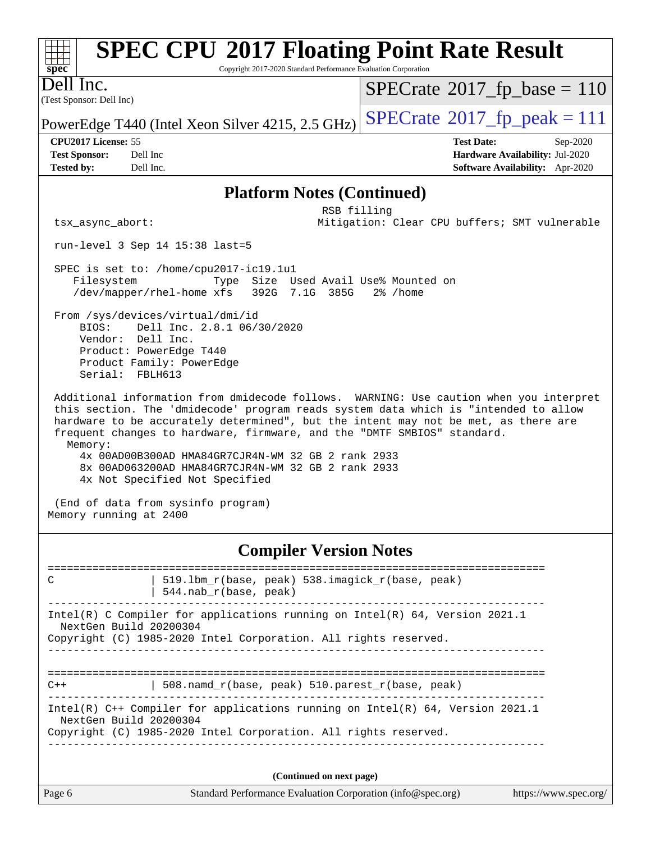| <b>SPEC CPU®2017 Floating Point Rate Result</b><br>$spec^*$<br>Copyright 2017-2020 Standard Performance Evaluation Corporation                    |                                               |  |  |  |
|---------------------------------------------------------------------------------------------------------------------------------------------------|-----------------------------------------------|--|--|--|
| lnc.<br>Je II<br>(Test Sponsor: Dell Inc)                                                                                                         | $SPECrate^{\circledast}2017_fp\_base = 110$   |  |  |  |
| PowerEdge T440 (Intel Xeon Silver 4215, 2.5 GHz)                                                                                                  | $SPECTate@2017_fp\_peak = 111$                |  |  |  |
| <b>CPU2017 License: 55</b>                                                                                                                        | <b>Test Date:</b><br>Sep-2020                 |  |  |  |
| <b>Test Sponsor:</b><br>Dell Inc                                                                                                                  | <b>Hardware Availability: Jul-2020</b>        |  |  |  |
| <b>Tested by:</b><br>Dell Inc.                                                                                                                    | Software Availability: Apr-2020               |  |  |  |
| <b>Platform Notes (Continued)</b>                                                                                                                 |                                               |  |  |  |
| RSB filling                                                                                                                                       |                                               |  |  |  |
| tsx async abort:                                                                                                                                  | Mitigation: Clear CPU buffers; SMT vulnerable |  |  |  |
| $run-level 3 Sep 14 15:38 last=5$                                                                                                                 |                                               |  |  |  |
| SPEC is set to: /home/cpu2017-ic19.1u1<br>Size Used Avail Use% Mounted on<br>Filesystem<br>Type<br>/dev/mapper/rhel-home xfs<br>392G 7.1G<br>385G | $2\%$ /home                                   |  |  |  |

 From /sys/devices/virtual/dmi/id BIOS: Dell Inc. 2.8.1 06/30/2020 Vendor: Dell Inc. Product: PowerEdge T440 Product Family: PowerEdge Serial: FBLH613

 Additional information from dmidecode follows. WARNING: Use caution when you interpret this section. The 'dmidecode' program reads system data which is "intended to allow hardware to be accurately determined", but the intent may not be met, as there are frequent changes to hardware, firmware, and the "DMTF SMBIOS" standard. Memory: 4x 00AD00B300AD HMA84GR7CJR4N-WM 32 GB 2 rank 2933 8x 00AD063200AD HMA84GR7CJR4N-WM 32 GB 2 rank 2933 4x Not Specified Not Specified

 (End of data from sysinfo program) Memory running at 2400

### **[Compiler Version Notes](http://www.spec.org/auto/cpu2017/Docs/result-fields.html#CompilerVersionNotes)**

| C                      | 519.1bm_r(base, peak) 538.imagick_r(base, peak)<br>$544$ .nab $r(base, peak)$                                                                      |                      |
|------------------------|----------------------------------------------------------------------------------------------------------------------------------------------------|----------------------|
| NextGen Build 20200304 | Intel(R) C Compiler for applications running on Intel(R) $64$ , Version 2021.1<br>Copyright (C) 1985-2020 Intel Corporation. All rights reserved.  |                      |
| $C++$                  | 508. namd $r(base, peak)$ 510. parest $r(base, peak)$                                                                                              |                      |
| NextGen Build 20200304 | Intel(R) $C++$ Compiler for applications running on Intel(R) 64, Version 2021.1<br>Copyright (C) 1985-2020 Intel Corporation. All rights reserved. |                      |
| Page 6                 | (Continued on next page)<br>Standard Performance Evaluation Corporation (info@spec.org)                                                            | https://www.spec.org |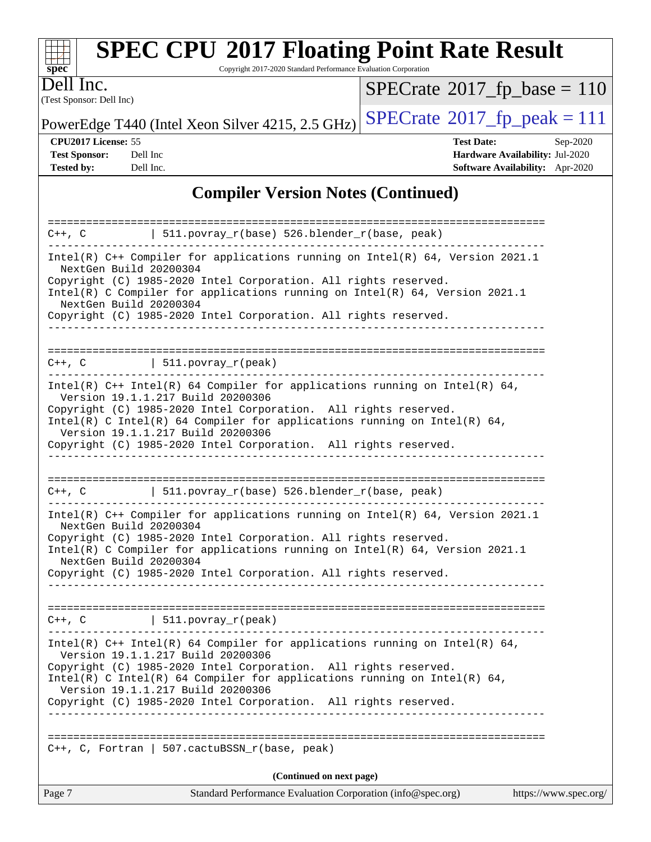| S<br>æ<br>Ü.<br>Ľ |  |  |  |  |  |
|-------------------|--|--|--|--|--|

Copyright 2017-2020 Standard Performance Evaluation Corporation

(Test Sponsor: Dell Inc) Dell Inc.

 $SPECrate$ <sup>®</sup>[2017\\_fp\\_base =](http://www.spec.org/auto/cpu2017/Docs/result-fields.html#SPECrate2017fpbase) 110

PowerEdge T440 (Intel Xeon Silver 4215, 2.5 GHz)  $\text{SPECrate}$  $\text{SPECrate}$  $\text{SPECrate}$ <sup>®</sup>[2017\\_fp\\_peak = 1](http://www.spec.org/auto/cpu2017/Docs/result-fields.html#SPECrate2017fppeak)11

**[Test Sponsor:](http://www.spec.org/auto/cpu2017/Docs/result-fields.html#TestSponsor)** Dell Inc **[Hardware Availability:](http://www.spec.org/auto/cpu2017/Docs/result-fields.html#HardwareAvailability)** Jul-2020 **[Tested by:](http://www.spec.org/auto/cpu2017/Docs/result-fields.html#Testedby)** Dell Inc. **[Software Availability:](http://www.spec.org/auto/cpu2017/Docs/result-fields.html#SoftwareAvailability)** Apr-2020

**[CPU2017 License:](http://www.spec.org/auto/cpu2017/Docs/result-fields.html#CPU2017License)** 55 **[Test Date:](http://www.spec.org/auto/cpu2017/Docs/result-fields.html#TestDate)** Sep-2020

**[Compiler Version Notes \(Continued\)](http://www.spec.org/auto/cpu2017/Docs/result-fields.html#CompilerVersionNotes)**

|                                                  | C++, C $\vert$ 511.povray_r(base) 526.blender_r(base, peak)                                                                                                                                                                                                                                                                                                              |                       |
|--------------------------------------------------|--------------------------------------------------------------------------------------------------------------------------------------------------------------------------------------------------------------------------------------------------------------------------------------------------------------------------------------------------------------------------|-----------------------|
| NextGen Build 20200304<br>NextGen Build 20200304 | Intel(R) C++ Compiler for applications running on Intel(R) 64, Version 2021.1<br>Copyright (C) 1985-2020 Intel Corporation. All rights reserved.<br>Intel(R) C Compiler for applications running on Intel(R) $64$ , Version 2021.1<br>Copyright (C) 1985-2020 Intel Corporation. All rights reserved.                                                                    |                       |
|                                                  | $C++$ , C $\qquad \qquad \vert$ 511.povray_r(peak)<br>___________________________________                                                                                                                                                                                                                                                                                |                       |
|                                                  | Intel(R) $C++$ Intel(R) 64 Compiler for applications running on Intel(R) 64,<br>Version 19.1.1.217 Build 20200306<br>Copyright (C) 1985-2020 Intel Corporation. All rights reserved.<br>Intel(R) C Intel(R) 64 Compiler for applications running on Intel(R) 64,<br>Version 19.1.1.217 Build 20200306<br>Copyright (C) 1985-2020 Intel Corporation. All rights reserved. |                       |
|                                                  | $C++$ , C $\qquad \qquad$ 511.povray_r(base) 526.blender_r(base, peak)                                                                                                                                                                                                                                                                                                   |                       |
| NextGen Build 20200304<br>NextGen Build 20200304 | Intel(R) $C++$ Compiler for applications running on Intel(R) 64, Version 2021.1<br>Copyright (C) 1985-2020 Intel Corporation. All rights reserved.<br>Intel(R) C Compiler for applications running on Intel(R) $64$ , Version 2021.1<br>Copyright (C) 1985-2020 Intel Corporation. All rights reserved.                                                                  |                       |
|                                                  | $C++$ , C $\qquad \qquad$ 511.povray_r(peak)                                                                                                                                                                                                                                                                                                                             |                       |
|                                                  | Intel(R) $C++$ Intel(R) 64 Compiler for applications running on Intel(R) 64,<br>Version 19.1.1.217 Build 20200306<br>Copyright (C) 1985-2020 Intel Corporation. All rights reserved.<br>Intel(R) C Intel(R) 64 Compiler for applications running on Intel(R) 64,<br>Version 19.1.1.217 Build 20200306<br>Copyright (C) 1985-2020 Intel Corporation. All rights reserved. |                       |
|                                                  | $C++$ , C, Fortran   507.cactuBSSN_r(base, peak)                                                                                                                                                                                                                                                                                                                         |                       |
|                                                  | (Continued on next page)                                                                                                                                                                                                                                                                                                                                                 |                       |
| Page 7                                           | Standard Performance Evaluation Corporation (info@spec.org)                                                                                                                                                                                                                                                                                                              | https://www.spec.org/ |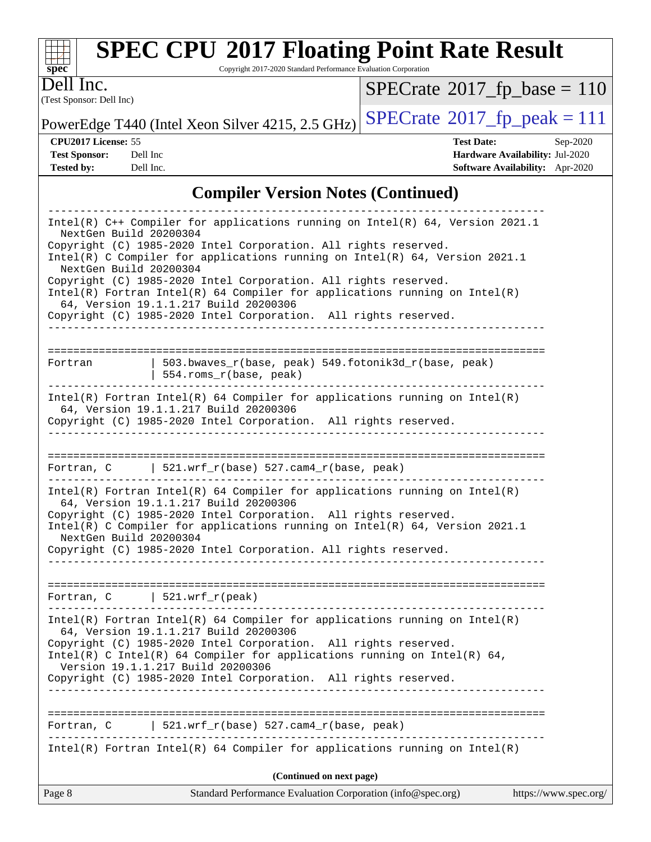| s<br>æ<br>п<br>I<br>Ľ |  |  |  |  |  |
|-----------------------|--|--|--|--|--|

Copyright 2017-2020 Standard Performance Evaluation Corporation

(Test Sponsor: Dell Inc) Dell Inc.

 $SPECrate$ <sup>®</sup>[2017\\_fp\\_base =](http://www.spec.org/auto/cpu2017/Docs/result-fields.html#SPECrate2017fpbase) 110

PowerEdge T440 (Intel Xeon Silver 4215, 2.5 GHz)  $\text{SPECrate}$  $\text{SPECrate}$  $\text{SPECrate}$ <sup>®</sup>[2017\\_fp\\_peak = 1](http://www.spec.org/auto/cpu2017/Docs/result-fields.html#SPECrate2017fppeak)11

**[CPU2017 License:](http://www.spec.org/auto/cpu2017/Docs/result-fields.html#CPU2017License)** 55 **[Test Date:](http://www.spec.org/auto/cpu2017/Docs/result-fields.html#TestDate)** Sep-2020 **[Test Sponsor:](http://www.spec.org/auto/cpu2017/Docs/result-fields.html#TestSponsor)** Dell Inc **[Hardware Availability:](http://www.spec.org/auto/cpu2017/Docs/result-fields.html#HardwareAvailability)** Jul-2020 **[Tested by:](http://www.spec.org/auto/cpu2017/Docs/result-fields.html#Testedby)** Dell Inc. **[Software Availability:](http://www.spec.org/auto/cpu2017/Docs/result-fields.html#SoftwareAvailability)** Apr-2020

## **[Compiler Version Notes \(Continued\)](http://www.spec.org/auto/cpu2017/Docs/result-fields.html#CompilerVersionNotes)**

| Page 8                                           | Standard Performance Evaluation Corporation (info@spec.org)                                                                                                                                                                                                                                                                                                                                                                                                                                         | https://www.spec.org/ |
|--------------------------------------------------|-----------------------------------------------------------------------------------------------------------------------------------------------------------------------------------------------------------------------------------------------------------------------------------------------------------------------------------------------------------------------------------------------------------------------------------------------------------------------------------------------------|-----------------------|
|                                                  | (Continued on next page)                                                                                                                                                                                                                                                                                                                                                                                                                                                                            |                       |
|                                                  | $Intel(R)$ Fortran Intel(R) 64 Compiler for applications running on Intel(R)                                                                                                                                                                                                                                                                                                                                                                                                                        |                       |
| Fortran, C                                       | $521.wrf_r(base) 527.cam4_r(base, peak)$                                                                                                                                                                                                                                                                                                                                                                                                                                                            |                       |
|                                                  | $Intel(R)$ Fortran Intel(R) 64 Compiler for applications running on Intel(R)<br>64, Version 19.1.1.217 Build 20200306<br>Copyright (C) 1985-2020 Intel Corporation. All rights reserved.<br>Intel(R) C Intel(R) 64 Compiler for applications running on Intel(R) 64,<br>Version 19.1.1.217 Build 20200306<br>Copyright (C) 1985-2020 Intel Corporation. All rights reserved.                                                                                                                        |                       |
| -----------------                                | Fortran, $C$   521.wrf_r(peak)                                                                                                                                                                                                                                                                                                                                                                                                                                                                      |                       |
| NextGen Build 20200304                           | $Intel(R)$ Fortran Intel(R) 64 Compiler for applications running on Intel(R)<br>64, Version 19.1.1.217 Build 20200306<br>Copyright (C) 1985-2020 Intel Corporation. All rights reserved.<br>Intel(R) C Compiler for applications running on Intel(R) 64, Version 2021.1<br>Copyright (C) 1985-2020 Intel Corporation. All rights reserved.                                                                                                                                                          |                       |
|                                                  | Fortran, C   521.wrf_r(base) $527$ .cam4_r(base, peak)                                                                                                                                                                                                                                                                                                                                                                                                                                              |                       |
|                                                  | -------------------------------------<br>$Intel(R)$ Fortran Intel(R) 64 Compiler for applications running on Intel(R)<br>64, Version 19.1.1.217 Build 20200306<br>Copyright (C) 1985-2020 Intel Corporation. All rights reserved.                                                                                                                                                                                                                                                                   |                       |
| Fortran                                          | 503.bwaves_r(base, peak) 549.fotonik3d_r(base, peak)<br>  554.roms_r(base, peak)                                                                                                                                                                                                                                                                                                                                                                                                                    |                       |
| NextGen Build 20200304<br>NextGen Build 20200304 | Intel(R) $C++$ Compiler for applications running on Intel(R) 64, Version 2021.1<br>Copyright (C) 1985-2020 Intel Corporation. All rights reserved.<br>Intel(R) C Compiler for applications running on $Intel(R) 64$ , Version 2021.1<br>Copyright (C) 1985-2020 Intel Corporation. All rights reserved.<br>$Intel(R)$ Fortran Intel(R) 64 Compiler for applications running on Intel(R)<br>64, Version 19.1.1.217 Build 20200306<br>Copyright (C) 1985-2020 Intel Corporation. All rights reserved. |                       |
|                                                  |                                                                                                                                                                                                                                                                                                                                                                                                                                                                                                     |                       |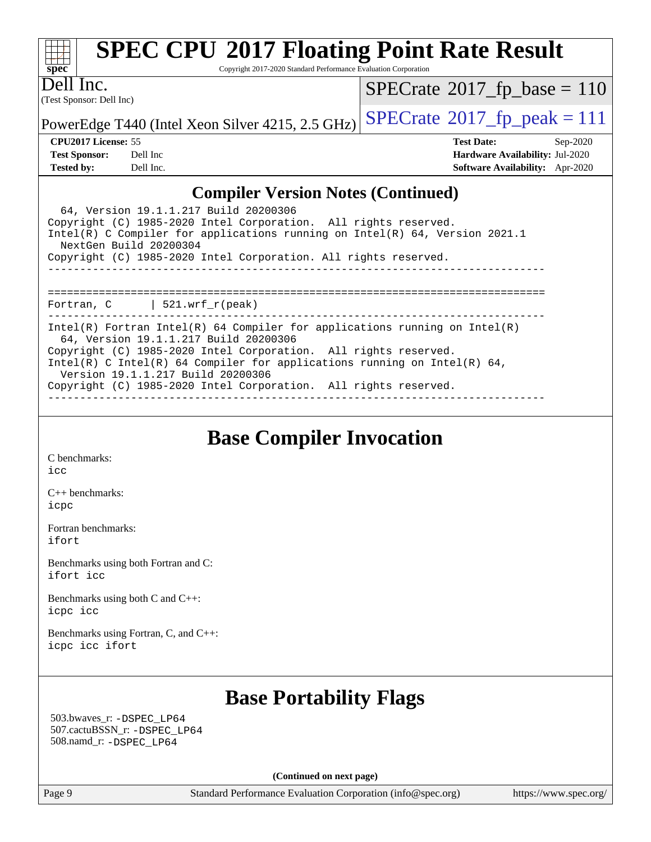| s | U | æ | Ľ |  |
|---|---|---|---|--|

Copyright 2017-2020 Standard Performance Evaluation Corporation

(Test Sponsor: Dell Inc) Dell Inc.

 $SPECrate$ <sup>®</sup>[2017\\_fp\\_base =](http://www.spec.org/auto/cpu2017/Docs/result-fields.html#SPECrate2017fpbase) 110

PowerEdge T440 (Intel Xeon Silver 4215, 2.5 GHz)  $\text{SPECrate}^{\circ}2017$  $\text{SPECrate}^{\circ}2017$  $\text{SPECrate}^{\circ}2017$  fp peak = 111

**[CPU2017 License:](http://www.spec.org/auto/cpu2017/Docs/result-fields.html#CPU2017License)** 55 **[Test Date:](http://www.spec.org/auto/cpu2017/Docs/result-fields.html#TestDate)** Sep-2020 **[Test Sponsor:](http://www.spec.org/auto/cpu2017/Docs/result-fields.html#TestSponsor)** Dell Inc **[Hardware Availability:](http://www.spec.org/auto/cpu2017/Docs/result-fields.html#HardwareAvailability)** Jul-2020 **[Tested by:](http://www.spec.org/auto/cpu2017/Docs/result-fields.html#Testedby)** Dell Inc. **[Software Availability:](http://www.spec.org/auto/cpu2017/Docs/result-fields.html#SoftwareAvailability)** Apr-2020

### **[Compiler Version Notes \(Continued\)](http://www.spec.org/auto/cpu2017/Docs/result-fields.html#CompilerVersionNotes)**

| 64, Version 19.1.1.217 Build 20200306<br>Copyright (C) 1985-2020 Intel Corporation. All rights reserved.<br>Intel(R) C Compiler for applications running on Intel(R) $64$ , Version 2021.1<br>NextGen Build 20200304<br>Copyright (C) 1985-2020 Intel Corporation. All rights reserved.                                                                                    |  |  |  |  |
|----------------------------------------------------------------------------------------------------------------------------------------------------------------------------------------------------------------------------------------------------------------------------------------------------------------------------------------------------------------------------|--|--|--|--|
| Fortran, $C$   521.wrf_r(peak)                                                                                                                                                                                                                                                                                                                                             |  |  |  |  |
| Intel(R) Fortran Intel(R) 64 Compiler for applications running on Intel(R)<br>64, Version 19.1.1.217 Build 20200306<br>Copyright (C) 1985-2020 Intel Corporation. All rights reserved.<br>Intel(R) C Intel(R) 64 Compiler for applications running on Intel(R) 64,<br>Version 19.1.1.217 Build 20200306<br>Copyright (C) 1985-2020 Intel Corporation. All rights reserved. |  |  |  |  |

**[Base Compiler Invocation](http://www.spec.org/auto/cpu2017/Docs/result-fields.html#BaseCompilerInvocation)**

[C benchmarks](http://www.spec.org/auto/cpu2017/Docs/result-fields.html#Cbenchmarks): [icc](http://www.spec.org/cpu2017/results/res2020q4/cpu2017-20200928-24063.flags.html#user_CCbase_intel_icc_66fc1ee009f7361af1fbd72ca7dcefbb700085f36577c54f309893dd4ec40d12360134090235512931783d35fd58c0460139e722d5067c5574d8eaf2b3e37e92)

[C++ benchmarks:](http://www.spec.org/auto/cpu2017/Docs/result-fields.html#CXXbenchmarks) [icpc](http://www.spec.org/cpu2017/results/res2020q4/cpu2017-20200928-24063.flags.html#user_CXXbase_intel_icpc_c510b6838c7f56d33e37e94d029a35b4a7bccf4766a728ee175e80a419847e808290a9b78be685c44ab727ea267ec2f070ec5dc83b407c0218cded6866a35d07)

[Fortran benchmarks](http://www.spec.org/auto/cpu2017/Docs/result-fields.html#Fortranbenchmarks): [ifort](http://www.spec.org/cpu2017/results/res2020q4/cpu2017-20200928-24063.flags.html#user_FCbase_intel_ifort_8111460550e3ca792625aed983ce982f94888b8b503583aa7ba2b8303487b4d8a21a13e7191a45c5fd58ff318f48f9492884d4413fa793fd88dd292cad7027ca)

[Benchmarks using both Fortran and C](http://www.spec.org/auto/cpu2017/Docs/result-fields.html#BenchmarksusingbothFortranandC): [ifort](http://www.spec.org/cpu2017/results/res2020q4/cpu2017-20200928-24063.flags.html#user_CC_FCbase_intel_ifort_8111460550e3ca792625aed983ce982f94888b8b503583aa7ba2b8303487b4d8a21a13e7191a45c5fd58ff318f48f9492884d4413fa793fd88dd292cad7027ca) [icc](http://www.spec.org/cpu2017/results/res2020q4/cpu2017-20200928-24063.flags.html#user_CC_FCbase_intel_icc_66fc1ee009f7361af1fbd72ca7dcefbb700085f36577c54f309893dd4ec40d12360134090235512931783d35fd58c0460139e722d5067c5574d8eaf2b3e37e92)

[Benchmarks using both C and C++](http://www.spec.org/auto/cpu2017/Docs/result-fields.html#BenchmarksusingbothCandCXX): [icpc](http://www.spec.org/cpu2017/results/res2020q4/cpu2017-20200928-24063.flags.html#user_CC_CXXbase_intel_icpc_c510b6838c7f56d33e37e94d029a35b4a7bccf4766a728ee175e80a419847e808290a9b78be685c44ab727ea267ec2f070ec5dc83b407c0218cded6866a35d07) [icc](http://www.spec.org/cpu2017/results/res2020q4/cpu2017-20200928-24063.flags.html#user_CC_CXXbase_intel_icc_66fc1ee009f7361af1fbd72ca7dcefbb700085f36577c54f309893dd4ec40d12360134090235512931783d35fd58c0460139e722d5067c5574d8eaf2b3e37e92)

[Benchmarks using Fortran, C, and C++:](http://www.spec.org/auto/cpu2017/Docs/result-fields.html#BenchmarksusingFortranCandCXX) [icpc](http://www.spec.org/cpu2017/results/res2020q4/cpu2017-20200928-24063.flags.html#user_CC_CXX_FCbase_intel_icpc_c510b6838c7f56d33e37e94d029a35b4a7bccf4766a728ee175e80a419847e808290a9b78be685c44ab727ea267ec2f070ec5dc83b407c0218cded6866a35d07) [icc](http://www.spec.org/cpu2017/results/res2020q4/cpu2017-20200928-24063.flags.html#user_CC_CXX_FCbase_intel_icc_66fc1ee009f7361af1fbd72ca7dcefbb700085f36577c54f309893dd4ec40d12360134090235512931783d35fd58c0460139e722d5067c5574d8eaf2b3e37e92) [ifort](http://www.spec.org/cpu2017/results/res2020q4/cpu2017-20200928-24063.flags.html#user_CC_CXX_FCbase_intel_ifort_8111460550e3ca792625aed983ce982f94888b8b503583aa7ba2b8303487b4d8a21a13e7191a45c5fd58ff318f48f9492884d4413fa793fd88dd292cad7027ca)

## **[Base Portability Flags](http://www.spec.org/auto/cpu2017/Docs/result-fields.html#BasePortabilityFlags)**

 503.bwaves\_r: [-DSPEC\\_LP64](http://www.spec.org/cpu2017/results/res2020q4/cpu2017-20200928-24063.flags.html#suite_basePORTABILITY503_bwaves_r_DSPEC_LP64) 507.cactuBSSN\_r: [-DSPEC\\_LP64](http://www.spec.org/cpu2017/results/res2020q4/cpu2017-20200928-24063.flags.html#suite_basePORTABILITY507_cactuBSSN_r_DSPEC_LP64) 508.namd\_r: [-DSPEC\\_LP64](http://www.spec.org/cpu2017/results/res2020q4/cpu2017-20200928-24063.flags.html#suite_basePORTABILITY508_namd_r_DSPEC_LP64)

**(Continued on next page)**

Page 9 Standard Performance Evaluation Corporation [\(info@spec.org\)](mailto:info@spec.org) <https://www.spec.org/>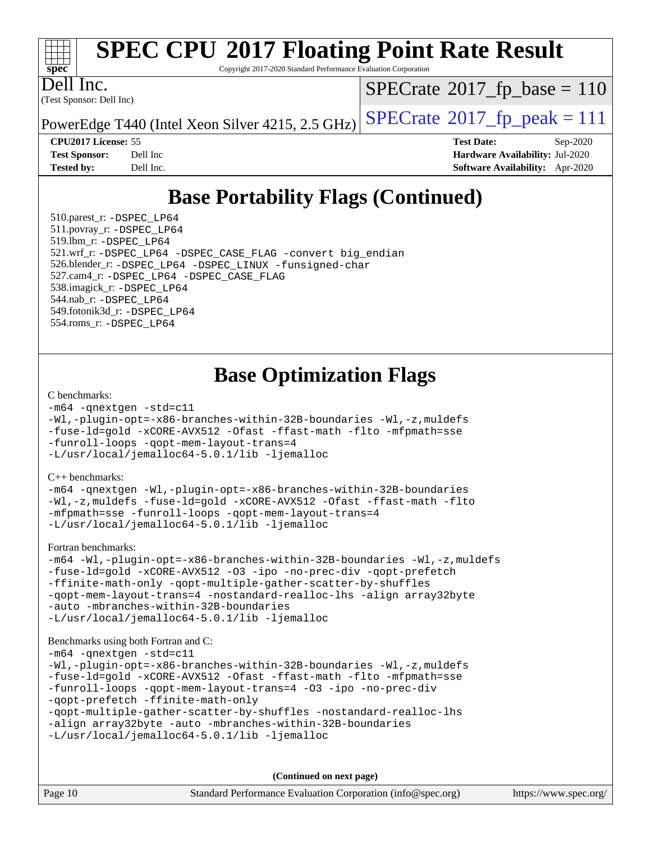

Copyright 2017-2020 Standard Performance Evaluation Corporation

Dell Inc.

(Test Sponsor: Dell Inc)

 $SPECrate$ <sup>®</sup>[2017\\_fp\\_base =](http://www.spec.org/auto/cpu2017/Docs/result-fields.html#SPECrate2017fpbase) 110

PowerEdge T440 (Intel Xeon Silver 4215, 2.5 GHz)  $\text{SPECrate}^{\circ}2017$  $\text{SPECrate}^{\circ}2017$  $\text{SPECrate}^{\circ}2017$  [p\_peak = 111]

**[CPU2017 License:](http://www.spec.org/auto/cpu2017/Docs/result-fields.html#CPU2017License)** 55 **[Test Date:](http://www.spec.org/auto/cpu2017/Docs/result-fields.html#TestDate)** Sep-2020 **[Test Sponsor:](http://www.spec.org/auto/cpu2017/Docs/result-fields.html#TestSponsor)** Dell Inc **[Hardware Availability:](http://www.spec.org/auto/cpu2017/Docs/result-fields.html#HardwareAvailability)** Jul-2020 **[Tested by:](http://www.spec.org/auto/cpu2017/Docs/result-fields.html#Testedby)** Dell Inc. **[Software Availability:](http://www.spec.org/auto/cpu2017/Docs/result-fields.html#SoftwareAvailability)** Apr-2020

## **[Base Portability Flags \(Continued\)](http://www.spec.org/auto/cpu2017/Docs/result-fields.html#BasePortabilityFlags)**

 510.parest\_r: [-DSPEC\\_LP64](http://www.spec.org/cpu2017/results/res2020q4/cpu2017-20200928-24063.flags.html#suite_basePORTABILITY510_parest_r_DSPEC_LP64) 511.povray\_r: [-DSPEC\\_LP64](http://www.spec.org/cpu2017/results/res2020q4/cpu2017-20200928-24063.flags.html#suite_basePORTABILITY511_povray_r_DSPEC_LP64) 519.lbm\_r: [-DSPEC\\_LP64](http://www.spec.org/cpu2017/results/res2020q4/cpu2017-20200928-24063.flags.html#suite_basePORTABILITY519_lbm_r_DSPEC_LP64) 521.wrf\_r: [-DSPEC\\_LP64](http://www.spec.org/cpu2017/results/res2020q4/cpu2017-20200928-24063.flags.html#suite_basePORTABILITY521_wrf_r_DSPEC_LP64) [-DSPEC\\_CASE\\_FLAG](http://www.spec.org/cpu2017/results/res2020q4/cpu2017-20200928-24063.flags.html#b521.wrf_r_baseCPORTABILITY_DSPEC_CASE_FLAG) [-convert big\\_endian](http://www.spec.org/cpu2017/results/res2020q4/cpu2017-20200928-24063.flags.html#user_baseFPORTABILITY521_wrf_r_convert_big_endian_c3194028bc08c63ac5d04de18c48ce6d347e4e562e8892b8bdbdc0214820426deb8554edfa529a3fb25a586e65a3d812c835984020483e7e73212c4d31a38223) 526.blender\_r: [-DSPEC\\_LP64](http://www.spec.org/cpu2017/results/res2020q4/cpu2017-20200928-24063.flags.html#suite_basePORTABILITY526_blender_r_DSPEC_LP64) [-DSPEC\\_LINUX](http://www.spec.org/cpu2017/results/res2020q4/cpu2017-20200928-24063.flags.html#b526.blender_r_baseCPORTABILITY_DSPEC_LINUX) [-funsigned-char](http://www.spec.org/cpu2017/results/res2020q4/cpu2017-20200928-24063.flags.html#user_baseCPORTABILITY526_blender_r_force_uchar_40c60f00ab013830e2dd6774aeded3ff59883ba5a1fc5fc14077f794d777847726e2a5858cbc7672e36e1b067e7e5c1d9a74f7176df07886a243d7cc18edfe67) 527.cam4\_r: [-DSPEC\\_LP64](http://www.spec.org/cpu2017/results/res2020q4/cpu2017-20200928-24063.flags.html#suite_basePORTABILITY527_cam4_r_DSPEC_LP64) [-DSPEC\\_CASE\\_FLAG](http://www.spec.org/cpu2017/results/res2020q4/cpu2017-20200928-24063.flags.html#b527.cam4_r_baseCPORTABILITY_DSPEC_CASE_FLAG) 538.imagick\_r: [-DSPEC\\_LP64](http://www.spec.org/cpu2017/results/res2020q4/cpu2017-20200928-24063.flags.html#suite_basePORTABILITY538_imagick_r_DSPEC_LP64) 544.nab\_r: [-DSPEC\\_LP64](http://www.spec.org/cpu2017/results/res2020q4/cpu2017-20200928-24063.flags.html#suite_basePORTABILITY544_nab_r_DSPEC_LP64) 549.fotonik3d\_r: [-DSPEC\\_LP64](http://www.spec.org/cpu2017/results/res2020q4/cpu2017-20200928-24063.flags.html#suite_basePORTABILITY549_fotonik3d_r_DSPEC_LP64) 554.roms\_r: [-DSPEC\\_LP64](http://www.spec.org/cpu2017/results/res2020q4/cpu2017-20200928-24063.flags.html#suite_basePORTABILITY554_roms_r_DSPEC_LP64)

## **[Base Optimization Flags](http://www.spec.org/auto/cpu2017/Docs/result-fields.html#BaseOptimizationFlags)**

#### [C benchmarks](http://www.spec.org/auto/cpu2017/Docs/result-fields.html#Cbenchmarks):

```
-m64 -qnextgen -std=c11
-Wl,-plugin-opt=-x86-branches-within-32B-boundaries -Wl,-z,muldefs
-fuse-ld=gold -xCORE-AVX512 -Ofast -ffast-math -flto -mfpmath=sse
-funroll-loops -qopt-mem-layout-trans=4
-L/usr/local/jemalloc64-5.0.1/lib -ljemalloc
```
[C++ benchmarks:](http://www.spec.org/auto/cpu2017/Docs/result-fields.html#CXXbenchmarks)

[-m64](http://www.spec.org/cpu2017/results/res2020q4/cpu2017-20200928-24063.flags.html#user_CXXbase_m64-icc) [-qnextgen](http://www.spec.org/cpu2017/results/res2020q4/cpu2017-20200928-24063.flags.html#user_CXXbase_f-qnextgen) [-Wl,-plugin-opt=-x86-branches-within-32B-boundaries](http://www.spec.org/cpu2017/results/res2020q4/cpu2017-20200928-24063.flags.html#user_CXXbase_f-x86-branches-within-32B-boundaries_0098b4e4317ae60947b7b728078a624952a08ac37a3c797dfb4ffeb399e0c61a9dd0f2f44ce917e9361fb9076ccb15e7824594512dd315205382d84209e912f3) [-Wl,-z,muldefs](http://www.spec.org/cpu2017/results/res2020q4/cpu2017-20200928-24063.flags.html#user_CXXbase_link_force_multiple1_b4cbdb97b34bdee9ceefcfe54f4c8ea74255f0b02a4b23e853cdb0e18eb4525ac79b5a88067c842dd0ee6996c24547a27a4b99331201badda8798ef8a743f577) [-fuse-ld=gold](http://www.spec.org/cpu2017/results/res2020q4/cpu2017-20200928-24063.flags.html#user_CXXbase_f-fuse-ld_920b3586e2b8c6e0748b9c84fa9b744736ba725a32cab14ad8f3d4ad28eecb2f59d1144823d2e17006539a88734fe1fc08fc3035f7676166309105a78aaabc32) [-xCORE-AVX512](http://www.spec.org/cpu2017/results/res2020q4/cpu2017-20200928-24063.flags.html#user_CXXbase_f-xCORE-AVX512) [-Ofast](http://www.spec.org/cpu2017/results/res2020q4/cpu2017-20200928-24063.flags.html#user_CXXbase_f-Ofast) [-ffast-math](http://www.spec.org/cpu2017/results/res2020q4/cpu2017-20200928-24063.flags.html#user_CXXbase_f-ffast-math) [-flto](http://www.spec.org/cpu2017/results/res2020q4/cpu2017-20200928-24063.flags.html#user_CXXbase_f-flto) [-mfpmath=sse](http://www.spec.org/cpu2017/results/res2020q4/cpu2017-20200928-24063.flags.html#user_CXXbase_f-mfpmath_70eb8fac26bde974f8ab713bc9086c5621c0b8d2f6c86f38af0bd7062540daf19db5f3a066d8c6684be05d84c9b6322eb3b5be6619d967835195b93d6c02afa1) [-funroll-loops](http://www.spec.org/cpu2017/results/res2020q4/cpu2017-20200928-24063.flags.html#user_CXXbase_f-funroll-loops) [-qopt-mem-layout-trans=4](http://www.spec.org/cpu2017/results/res2020q4/cpu2017-20200928-24063.flags.html#user_CXXbase_f-qopt-mem-layout-trans_fa39e755916c150a61361b7846f310bcdf6f04e385ef281cadf3647acec3f0ae266d1a1d22d972a7087a248fd4e6ca390a3634700869573d231a252c784941a8) [-L/usr/local/jemalloc64-5.0.1/lib](http://www.spec.org/cpu2017/results/res2020q4/cpu2017-20200928-24063.flags.html#user_CXXbase_jemalloc_link_path64_1_cc289568b1a6c0fd3b62c91b824c27fcb5af5e8098e6ad028160d21144ef1b8aef3170d2acf0bee98a8da324cfe4f67d0a3d0c4cc4673d993d694dc2a0df248b) [-ljemalloc](http://www.spec.org/cpu2017/results/res2020q4/cpu2017-20200928-24063.flags.html#user_CXXbase_jemalloc_link_lib_d1249b907c500fa1c0672f44f562e3d0f79738ae9e3c4a9c376d49f265a04b9c99b167ecedbf6711b3085be911c67ff61f150a17b3472be731631ba4d0471706)

[Fortran benchmarks](http://www.spec.org/auto/cpu2017/Docs/result-fields.html#Fortranbenchmarks):

[-m64](http://www.spec.org/cpu2017/results/res2020q4/cpu2017-20200928-24063.flags.html#user_FCbase_m64-icc) [-Wl,-plugin-opt=-x86-branches-within-32B-boundaries](http://www.spec.org/cpu2017/results/res2020q4/cpu2017-20200928-24063.flags.html#user_FCbase_f-x86-branches-within-32B-boundaries_0098b4e4317ae60947b7b728078a624952a08ac37a3c797dfb4ffeb399e0c61a9dd0f2f44ce917e9361fb9076ccb15e7824594512dd315205382d84209e912f3) [-Wl,-z,muldefs](http://www.spec.org/cpu2017/results/res2020q4/cpu2017-20200928-24063.flags.html#user_FCbase_link_force_multiple1_b4cbdb97b34bdee9ceefcfe54f4c8ea74255f0b02a4b23e853cdb0e18eb4525ac79b5a88067c842dd0ee6996c24547a27a4b99331201badda8798ef8a743f577) [-fuse-ld=gold](http://www.spec.org/cpu2017/results/res2020q4/cpu2017-20200928-24063.flags.html#user_FCbase_f-fuse-ld_920b3586e2b8c6e0748b9c84fa9b744736ba725a32cab14ad8f3d4ad28eecb2f59d1144823d2e17006539a88734fe1fc08fc3035f7676166309105a78aaabc32) [-xCORE-AVX512](http://www.spec.org/cpu2017/results/res2020q4/cpu2017-20200928-24063.flags.html#user_FCbase_f-xCORE-AVX512) [-O3](http://www.spec.org/cpu2017/results/res2020q4/cpu2017-20200928-24063.flags.html#user_FCbase_f-O3) [-ipo](http://www.spec.org/cpu2017/results/res2020q4/cpu2017-20200928-24063.flags.html#user_FCbase_f-ipo) [-no-prec-div](http://www.spec.org/cpu2017/results/res2020q4/cpu2017-20200928-24063.flags.html#user_FCbase_f-no-prec-div) [-qopt-prefetch](http://www.spec.org/cpu2017/results/res2020q4/cpu2017-20200928-24063.flags.html#user_FCbase_f-qopt-prefetch) [-ffinite-math-only](http://www.spec.org/cpu2017/results/res2020q4/cpu2017-20200928-24063.flags.html#user_FCbase_f_finite_math_only_cb91587bd2077682c4b38af759c288ed7c732db004271a9512da14a4f8007909a5f1427ecbf1a0fb78ff2a814402c6114ac565ca162485bbcae155b5e4258871) [-qopt-multiple-gather-scatter-by-shuffles](http://www.spec.org/cpu2017/results/res2020q4/cpu2017-20200928-24063.flags.html#user_FCbase_f-qopt-multiple-gather-scatter-by-shuffles) [-qopt-mem-layout-trans=4](http://www.spec.org/cpu2017/results/res2020q4/cpu2017-20200928-24063.flags.html#user_FCbase_f-qopt-mem-layout-trans_fa39e755916c150a61361b7846f310bcdf6f04e385ef281cadf3647acec3f0ae266d1a1d22d972a7087a248fd4e6ca390a3634700869573d231a252c784941a8) [-nostandard-realloc-lhs](http://www.spec.org/cpu2017/results/res2020q4/cpu2017-20200928-24063.flags.html#user_FCbase_f_2003_std_realloc_82b4557e90729c0f113870c07e44d33d6f5a304b4f63d4c15d2d0f1fab99f5daaed73bdb9275d9ae411527f28b936061aa8b9c8f2d63842963b95c9dd6426b8a) [-align array32byte](http://www.spec.org/cpu2017/results/res2020q4/cpu2017-20200928-24063.flags.html#user_FCbase_align_array32byte_b982fe038af199962ba9a80c053b8342c548c85b40b8e86eb3cc33dee0d7986a4af373ac2d51c3f7cf710a18d62fdce2948f201cd044323541f22fc0fffc51b6) [-auto](http://www.spec.org/cpu2017/results/res2020q4/cpu2017-20200928-24063.flags.html#user_FCbase_f-auto) [-mbranches-within-32B-boundaries](http://www.spec.org/cpu2017/results/res2020q4/cpu2017-20200928-24063.flags.html#user_FCbase_f-mbranches-within-32B-boundaries) [-L/usr/local/jemalloc64-5.0.1/lib](http://www.spec.org/cpu2017/results/res2020q4/cpu2017-20200928-24063.flags.html#user_FCbase_jemalloc_link_path64_1_cc289568b1a6c0fd3b62c91b824c27fcb5af5e8098e6ad028160d21144ef1b8aef3170d2acf0bee98a8da324cfe4f67d0a3d0c4cc4673d993d694dc2a0df248b) [-ljemalloc](http://www.spec.org/cpu2017/results/res2020q4/cpu2017-20200928-24063.flags.html#user_FCbase_jemalloc_link_lib_d1249b907c500fa1c0672f44f562e3d0f79738ae9e3c4a9c376d49f265a04b9c99b167ecedbf6711b3085be911c67ff61f150a17b3472be731631ba4d0471706)

#### [Benchmarks using both Fortran and C](http://www.spec.org/auto/cpu2017/Docs/result-fields.html#BenchmarksusingbothFortranandC):

```
-m64 -qnextgen -std=c11
-Wl,-plugin-opt=-x86-branches-within-32B-boundaries -Wl,-z,muldefs
-fuse-ld=gold -xCORE-AVX512 -Ofast -ffast-math -flto -mfpmath=sse
-funroll-loops -qopt-mem-layout-trans=4 -O3 -ipo -no-prec-div
-qopt-prefetch -ffinite-math-only
-qopt-multiple-gather-scatter-by-shuffles -nostandard-realloc-lhs
-align array32byte -auto -mbranches-within-32B-boundaries
-L/usr/local/jemalloc64-5.0.1/lib -ljemalloc
```
**(Continued on next page)**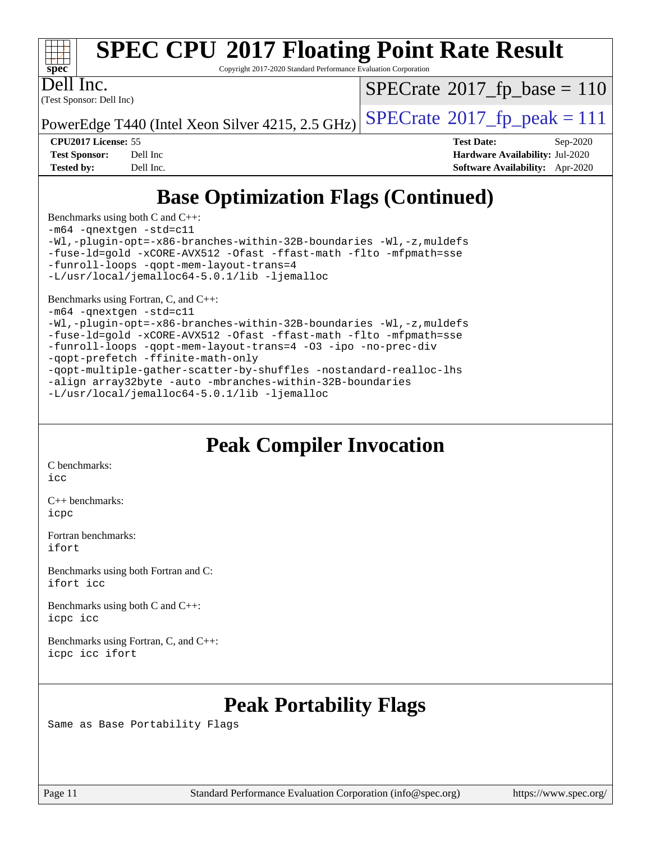

Copyright 2017-2020 Standard Performance Evaluation Corporation

Dell Inc.

(Test Sponsor: Dell Inc)

 $SPECTate$ <sup>®</sup>[2017\\_fp\\_base =](http://www.spec.org/auto/cpu2017/Docs/result-fields.html#SPECrate2017fpbase) 110

PowerEdge T440 (Intel Xeon Silver 4215, 2.5 GHz)  $\text{SPECrate}^{\circ}2017$  $\text{SPECrate}^{\circ}2017$  $\text{SPECrate}^{\circ}2017$  [p\_peak = 111]

**[CPU2017 License:](http://www.spec.org/auto/cpu2017/Docs/result-fields.html#CPU2017License)** 55 **[Test Date:](http://www.spec.org/auto/cpu2017/Docs/result-fields.html#TestDate)** Sep-2020 **[Test Sponsor:](http://www.spec.org/auto/cpu2017/Docs/result-fields.html#TestSponsor)** Dell Inc **[Hardware Availability:](http://www.spec.org/auto/cpu2017/Docs/result-fields.html#HardwareAvailability)** Jul-2020 **[Tested by:](http://www.spec.org/auto/cpu2017/Docs/result-fields.html#Testedby)** Dell Inc. **[Software Availability:](http://www.spec.org/auto/cpu2017/Docs/result-fields.html#SoftwareAvailability)** Apr-2020

## **[Base Optimization Flags \(Continued\)](http://www.spec.org/auto/cpu2017/Docs/result-fields.html#BaseOptimizationFlags)**

[Benchmarks using both C and C++](http://www.spec.org/auto/cpu2017/Docs/result-fields.html#BenchmarksusingbothCandCXX): [-m64](http://www.spec.org/cpu2017/results/res2020q4/cpu2017-20200928-24063.flags.html#user_CC_CXXbase_m64-icc) [-qnextgen](http://www.spec.org/cpu2017/results/res2020q4/cpu2017-20200928-24063.flags.html#user_CC_CXXbase_f-qnextgen) [-std=c11](http://www.spec.org/cpu2017/results/res2020q4/cpu2017-20200928-24063.flags.html#user_CC_CXXbase_std-icc-std_0e1c27790398a4642dfca32ffe6c27b5796f9c2d2676156f2e42c9c44eaad0c049b1cdb667a270c34d979996257aeb8fc440bfb01818dbc9357bd9d174cb8524) [-Wl,-plugin-opt=-x86-branches-within-32B-boundaries](http://www.spec.org/cpu2017/results/res2020q4/cpu2017-20200928-24063.flags.html#user_CC_CXXbase_f-x86-branches-within-32B-boundaries_0098b4e4317ae60947b7b728078a624952a08ac37a3c797dfb4ffeb399e0c61a9dd0f2f44ce917e9361fb9076ccb15e7824594512dd315205382d84209e912f3) [-Wl,-z,muldefs](http://www.spec.org/cpu2017/results/res2020q4/cpu2017-20200928-24063.flags.html#user_CC_CXXbase_link_force_multiple1_b4cbdb97b34bdee9ceefcfe54f4c8ea74255f0b02a4b23e853cdb0e18eb4525ac79b5a88067c842dd0ee6996c24547a27a4b99331201badda8798ef8a743f577) [-fuse-ld=gold](http://www.spec.org/cpu2017/results/res2020q4/cpu2017-20200928-24063.flags.html#user_CC_CXXbase_f-fuse-ld_920b3586e2b8c6e0748b9c84fa9b744736ba725a32cab14ad8f3d4ad28eecb2f59d1144823d2e17006539a88734fe1fc08fc3035f7676166309105a78aaabc32) [-xCORE-AVX512](http://www.spec.org/cpu2017/results/res2020q4/cpu2017-20200928-24063.flags.html#user_CC_CXXbase_f-xCORE-AVX512) [-Ofast](http://www.spec.org/cpu2017/results/res2020q4/cpu2017-20200928-24063.flags.html#user_CC_CXXbase_f-Ofast) [-ffast-math](http://www.spec.org/cpu2017/results/res2020q4/cpu2017-20200928-24063.flags.html#user_CC_CXXbase_f-ffast-math) [-flto](http://www.spec.org/cpu2017/results/res2020q4/cpu2017-20200928-24063.flags.html#user_CC_CXXbase_f-flto) [-mfpmath=sse](http://www.spec.org/cpu2017/results/res2020q4/cpu2017-20200928-24063.flags.html#user_CC_CXXbase_f-mfpmath_70eb8fac26bde974f8ab713bc9086c5621c0b8d2f6c86f38af0bd7062540daf19db5f3a066d8c6684be05d84c9b6322eb3b5be6619d967835195b93d6c02afa1) [-funroll-loops](http://www.spec.org/cpu2017/results/res2020q4/cpu2017-20200928-24063.flags.html#user_CC_CXXbase_f-funroll-loops) [-qopt-mem-layout-trans=4](http://www.spec.org/cpu2017/results/res2020q4/cpu2017-20200928-24063.flags.html#user_CC_CXXbase_f-qopt-mem-layout-trans_fa39e755916c150a61361b7846f310bcdf6f04e385ef281cadf3647acec3f0ae266d1a1d22d972a7087a248fd4e6ca390a3634700869573d231a252c784941a8) [-L/usr/local/jemalloc64-5.0.1/lib](http://www.spec.org/cpu2017/results/res2020q4/cpu2017-20200928-24063.flags.html#user_CC_CXXbase_jemalloc_link_path64_1_cc289568b1a6c0fd3b62c91b824c27fcb5af5e8098e6ad028160d21144ef1b8aef3170d2acf0bee98a8da324cfe4f67d0a3d0c4cc4673d993d694dc2a0df248b) [-ljemalloc](http://www.spec.org/cpu2017/results/res2020q4/cpu2017-20200928-24063.flags.html#user_CC_CXXbase_jemalloc_link_lib_d1249b907c500fa1c0672f44f562e3d0f79738ae9e3c4a9c376d49f265a04b9c99b167ecedbf6711b3085be911c67ff61f150a17b3472be731631ba4d0471706)

[Benchmarks using Fortran, C, and C++:](http://www.spec.org/auto/cpu2017/Docs/result-fields.html#BenchmarksusingFortranCandCXX)

[-m64](http://www.spec.org/cpu2017/results/res2020q4/cpu2017-20200928-24063.flags.html#user_CC_CXX_FCbase_m64-icc) [-qnextgen](http://www.spec.org/cpu2017/results/res2020q4/cpu2017-20200928-24063.flags.html#user_CC_CXX_FCbase_f-qnextgen) [-std=c11](http://www.spec.org/cpu2017/results/res2020q4/cpu2017-20200928-24063.flags.html#user_CC_CXX_FCbase_std-icc-std_0e1c27790398a4642dfca32ffe6c27b5796f9c2d2676156f2e42c9c44eaad0c049b1cdb667a270c34d979996257aeb8fc440bfb01818dbc9357bd9d174cb8524) [-Wl,-plugin-opt=-x86-branches-within-32B-boundaries](http://www.spec.org/cpu2017/results/res2020q4/cpu2017-20200928-24063.flags.html#user_CC_CXX_FCbase_f-x86-branches-within-32B-boundaries_0098b4e4317ae60947b7b728078a624952a08ac37a3c797dfb4ffeb399e0c61a9dd0f2f44ce917e9361fb9076ccb15e7824594512dd315205382d84209e912f3) [-Wl,-z,muldefs](http://www.spec.org/cpu2017/results/res2020q4/cpu2017-20200928-24063.flags.html#user_CC_CXX_FCbase_link_force_multiple1_b4cbdb97b34bdee9ceefcfe54f4c8ea74255f0b02a4b23e853cdb0e18eb4525ac79b5a88067c842dd0ee6996c24547a27a4b99331201badda8798ef8a743f577) [-fuse-ld=gold](http://www.spec.org/cpu2017/results/res2020q4/cpu2017-20200928-24063.flags.html#user_CC_CXX_FCbase_f-fuse-ld_920b3586e2b8c6e0748b9c84fa9b744736ba725a32cab14ad8f3d4ad28eecb2f59d1144823d2e17006539a88734fe1fc08fc3035f7676166309105a78aaabc32) [-xCORE-AVX512](http://www.spec.org/cpu2017/results/res2020q4/cpu2017-20200928-24063.flags.html#user_CC_CXX_FCbase_f-xCORE-AVX512) [-Ofast](http://www.spec.org/cpu2017/results/res2020q4/cpu2017-20200928-24063.flags.html#user_CC_CXX_FCbase_f-Ofast) [-ffast-math](http://www.spec.org/cpu2017/results/res2020q4/cpu2017-20200928-24063.flags.html#user_CC_CXX_FCbase_f-ffast-math) [-flto](http://www.spec.org/cpu2017/results/res2020q4/cpu2017-20200928-24063.flags.html#user_CC_CXX_FCbase_f-flto) [-mfpmath=sse](http://www.spec.org/cpu2017/results/res2020q4/cpu2017-20200928-24063.flags.html#user_CC_CXX_FCbase_f-mfpmath_70eb8fac26bde974f8ab713bc9086c5621c0b8d2f6c86f38af0bd7062540daf19db5f3a066d8c6684be05d84c9b6322eb3b5be6619d967835195b93d6c02afa1) [-funroll-loops](http://www.spec.org/cpu2017/results/res2020q4/cpu2017-20200928-24063.flags.html#user_CC_CXX_FCbase_f-funroll-loops) [-qopt-mem-layout-trans=4](http://www.spec.org/cpu2017/results/res2020q4/cpu2017-20200928-24063.flags.html#user_CC_CXX_FCbase_f-qopt-mem-layout-trans_fa39e755916c150a61361b7846f310bcdf6f04e385ef281cadf3647acec3f0ae266d1a1d22d972a7087a248fd4e6ca390a3634700869573d231a252c784941a8) [-O3](http://www.spec.org/cpu2017/results/res2020q4/cpu2017-20200928-24063.flags.html#user_CC_CXX_FCbase_f-O3) [-ipo](http://www.spec.org/cpu2017/results/res2020q4/cpu2017-20200928-24063.flags.html#user_CC_CXX_FCbase_f-ipo) [-no-prec-div](http://www.spec.org/cpu2017/results/res2020q4/cpu2017-20200928-24063.flags.html#user_CC_CXX_FCbase_f-no-prec-div) [-qopt-prefetch](http://www.spec.org/cpu2017/results/res2020q4/cpu2017-20200928-24063.flags.html#user_CC_CXX_FCbase_f-qopt-prefetch) [-ffinite-math-only](http://www.spec.org/cpu2017/results/res2020q4/cpu2017-20200928-24063.flags.html#user_CC_CXX_FCbase_f_finite_math_only_cb91587bd2077682c4b38af759c288ed7c732db004271a9512da14a4f8007909a5f1427ecbf1a0fb78ff2a814402c6114ac565ca162485bbcae155b5e4258871)

```
-qopt-multiple-gather-scatter-by-shuffles -nostandard-realloc-lhs
-align array32byte -auto -mbranches-within-32B-boundaries
-L/usr/local/jemalloc64-5.0.1/lib -ljemalloc
```
## **[Peak Compiler Invocation](http://www.spec.org/auto/cpu2017/Docs/result-fields.html#PeakCompilerInvocation)**

[C benchmarks](http://www.spec.org/auto/cpu2017/Docs/result-fields.html#Cbenchmarks):

[icc](http://www.spec.org/cpu2017/results/res2020q4/cpu2017-20200928-24063.flags.html#user_CCpeak_intel_icc_66fc1ee009f7361af1fbd72ca7dcefbb700085f36577c54f309893dd4ec40d12360134090235512931783d35fd58c0460139e722d5067c5574d8eaf2b3e37e92)

[C++ benchmarks:](http://www.spec.org/auto/cpu2017/Docs/result-fields.html#CXXbenchmarks) [icpc](http://www.spec.org/cpu2017/results/res2020q4/cpu2017-20200928-24063.flags.html#user_CXXpeak_intel_icpc_c510b6838c7f56d33e37e94d029a35b4a7bccf4766a728ee175e80a419847e808290a9b78be685c44ab727ea267ec2f070ec5dc83b407c0218cded6866a35d07)

[Fortran benchmarks](http://www.spec.org/auto/cpu2017/Docs/result-fields.html#Fortranbenchmarks): [ifort](http://www.spec.org/cpu2017/results/res2020q4/cpu2017-20200928-24063.flags.html#user_FCpeak_intel_ifort_8111460550e3ca792625aed983ce982f94888b8b503583aa7ba2b8303487b4d8a21a13e7191a45c5fd58ff318f48f9492884d4413fa793fd88dd292cad7027ca)

[Benchmarks using both Fortran and C](http://www.spec.org/auto/cpu2017/Docs/result-fields.html#BenchmarksusingbothFortranandC): [ifort](http://www.spec.org/cpu2017/results/res2020q4/cpu2017-20200928-24063.flags.html#user_CC_FCpeak_intel_ifort_8111460550e3ca792625aed983ce982f94888b8b503583aa7ba2b8303487b4d8a21a13e7191a45c5fd58ff318f48f9492884d4413fa793fd88dd292cad7027ca) [icc](http://www.spec.org/cpu2017/results/res2020q4/cpu2017-20200928-24063.flags.html#user_CC_FCpeak_intel_icc_66fc1ee009f7361af1fbd72ca7dcefbb700085f36577c54f309893dd4ec40d12360134090235512931783d35fd58c0460139e722d5067c5574d8eaf2b3e37e92)

[Benchmarks using both C and C++](http://www.spec.org/auto/cpu2017/Docs/result-fields.html#BenchmarksusingbothCandCXX): [icpc](http://www.spec.org/cpu2017/results/res2020q4/cpu2017-20200928-24063.flags.html#user_CC_CXXpeak_intel_icpc_c510b6838c7f56d33e37e94d029a35b4a7bccf4766a728ee175e80a419847e808290a9b78be685c44ab727ea267ec2f070ec5dc83b407c0218cded6866a35d07) [icc](http://www.spec.org/cpu2017/results/res2020q4/cpu2017-20200928-24063.flags.html#user_CC_CXXpeak_intel_icc_66fc1ee009f7361af1fbd72ca7dcefbb700085f36577c54f309893dd4ec40d12360134090235512931783d35fd58c0460139e722d5067c5574d8eaf2b3e37e92)

[Benchmarks using Fortran, C, and C++:](http://www.spec.org/auto/cpu2017/Docs/result-fields.html#BenchmarksusingFortranCandCXX) [icpc](http://www.spec.org/cpu2017/results/res2020q4/cpu2017-20200928-24063.flags.html#user_CC_CXX_FCpeak_intel_icpc_c510b6838c7f56d33e37e94d029a35b4a7bccf4766a728ee175e80a419847e808290a9b78be685c44ab727ea267ec2f070ec5dc83b407c0218cded6866a35d07) [icc](http://www.spec.org/cpu2017/results/res2020q4/cpu2017-20200928-24063.flags.html#user_CC_CXX_FCpeak_intel_icc_66fc1ee009f7361af1fbd72ca7dcefbb700085f36577c54f309893dd4ec40d12360134090235512931783d35fd58c0460139e722d5067c5574d8eaf2b3e37e92) [ifort](http://www.spec.org/cpu2017/results/res2020q4/cpu2017-20200928-24063.flags.html#user_CC_CXX_FCpeak_intel_ifort_8111460550e3ca792625aed983ce982f94888b8b503583aa7ba2b8303487b4d8a21a13e7191a45c5fd58ff318f48f9492884d4413fa793fd88dd292cad7027ca)

## **[Peak Portability Flags](http://www.spec.org/auto/cpu2017/Docs/result-fields.html#PeakPortabilityFlags)**

Same as Base Portability Flags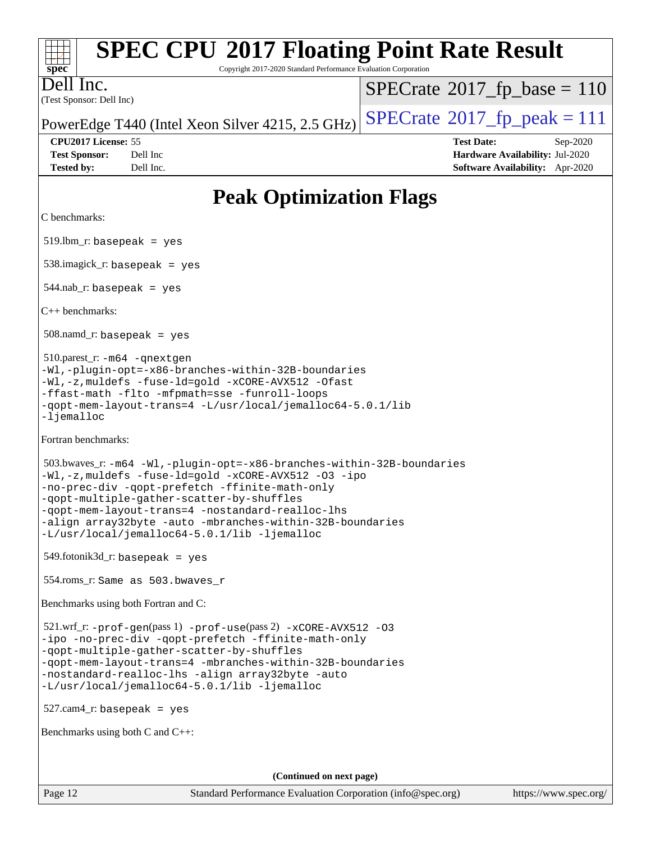| <b>SPEC CPU®2017 Floating Point Rate Result</b><br>Copyright 2017-2020 Standard Performance Evaluation Corporation<br>$spec^*$                                                                                                                                                                                                                                                                 |                                                                  |  |  |  |  |
|------------------------------------------------------------------------------------------------------------------------------------------------------------------------------------------------------------------------------------------------------------------------------------------------------------------------------------------------------------------------------------------------|------------------------------------------------------------------|--|--|--|--|
| Dell Inc.                                                                                                                                                                                                                                                                                                                                                                                      | $SPECrate^{\circ}2017$ _fp_base = 110                            |  |  |  |  |
| (Test Sponsor: Dell Inc)                                                                                                                                                                                                                                                                                                                                                                       | $SPECrate^{\circ}2017$ fp peak = 111                             |  |  |  |  |
| PowerEdge T440 (Intel Xeon Silver 4215, 2.5 GHz)                                                                                                                                                                                                                                                                                                                                               |                                                                  |  |  |  |  |
| CPU2017 License: 55<br><b>Test Sponsor:</b><br>Dell Inc                                                                                                                                                                                                                                                                                                                                        | <b>Test Date:</b><br>Sep-2020<br>Hardware Availability: Jul-2020 |  |  |  |  |
| Dell Inc.<br><b>Tested by:</b>                                                                                                                                                                                                                                                                                                                                                                 | Software Availability: Apr-2020                                  |  |  |  |  |
| <b>Peak Optimization Flags</b>                                                                                                                                                                                                                                                                                                                                                                 |                                                                  |  |  |  |  |
| C benchmarks:                                                                                                                                                                                                                                                                                                                                                                                  |                                                                  |  |  |  |  |
| $519.$ lbm_r: basepeak = yes                                                                                                                                                                                                                                                                                                                                                                   |                                                                  |  |  |  |  |
| $538.\text{imagek}_r:$ basepeak = yes                                                                                                                                                                                                                                                                                                                                                          |                                                                  |  |  |  |  |
| $544$ .nab_r: basepeak = yes                                                                                                                                                                                                                                                                                                                                                                   |                                                                  |  |  |  |  |
| $C_{++}$ benchmarks:                                                                                                                                                                                                                                                                                                                                                                           |                                                                  |  |  |  |  |
| $508$ .namd_r: basepeak = yes                                                                                                                                                                                                                                                                                                                                                                  |                                                                  |  |  |  |  |
| 510.parest_r: -m64 -qnextgen<br>-Wl,-plugin-opt=-x86-branches-within-32B-boundaries<br>-Wl,-z, muldefs -fuse-ld=gold -xCORE-AVX512 -Ofast<br>-ffast-math -flto -mfpmath=sse -funroll-loops<br>-qopt-mem-layout-trans=4 -L/usr/local/jemalloc64-5.0.1/lib<br>-ljemalloc                                                                                                                         |                                                                  |  |  |  |  |
| Fortran benchmarks:                                                                                                                                                                                                                                                                                                                                                                            |                                                                  |  |  |  |  |
| 503.bwaves_r: -m64 -Wl,-plugin-opt=-x86-branches-within-32B-boundaries<br>-Wl,-z, muldefs -fuse-ld=gold -xCORE-AVX512 -03 -ipo<br>-no-prec-div -qopt-prefetch -ffinite-math-only<br>-gopt-multiple-gather-scatter-by-shuffles<br>-qopt-mem-layout-trans=4 -nostandard-realloc-lhs<br>-align array32byte -auto -mbranches-within-32B-boundaries<br>-L/usr/local/jemalloc64-5.0.1/lib -ljemalloc |                                                                  |  |  |  |  |
| $549$ .fotonik $3d$ _r: basepeak = yes                                                                                                                                                                                                                                                                                                                                                         |                                                                  |  |  |  |  |
| 554.roms_r: Same as 503.bwaves_r                                                                                                                                                                                                                                                                                                                                                               |                                                                  |  |  |  |  |
| Benchmarks using both Fortran and C:                                                                                                                                                                                                                                                                                                                                                           |                                                                  |  |  |  |  |
| 521.wrf_r: -prof-gen(pass 1) -prof-use(pass 2) -xCORE-AVX512 -03<br>-ipo -no-prec-div -qopt-prefetch -ffinite-math-only<br>-qopt-multiple-gather-scatter-by-shuffles<br>-qopt-mem-layout-trans=4 -mbranches-within-32B-boundaries<br>-nostandard-realloc-lhs -align array32byte -auto<br>-L/usr/local/jemalloc64-5.0.1/lib -ljemalloc                                                          |                                                                  |  |  |  |  |
| $527.cam4_r$ : basepeak = yes                                                                                                                                                                                                                                                                                                                                                                  |                                                                  |  |  |  |  |
| Benchmarks using both $C$ and $C++$ :                                                                                                                                                                                                                                                                                                                                                          |                                                                  |  |  |  |  |
|                                                                                                                                                                                                                                                                                                                                                                                                |                                                                  |  |  |  |  |
| (Continued on next page)                                                                                                                                                                                                                                                                                                                                                                       |                                                                  |  |  |  |  |

Page 12 Standard Performance Evaluation Corporation [\(info@spec.org\)](mailto:info@spec.org) <https://www.spec.org/>